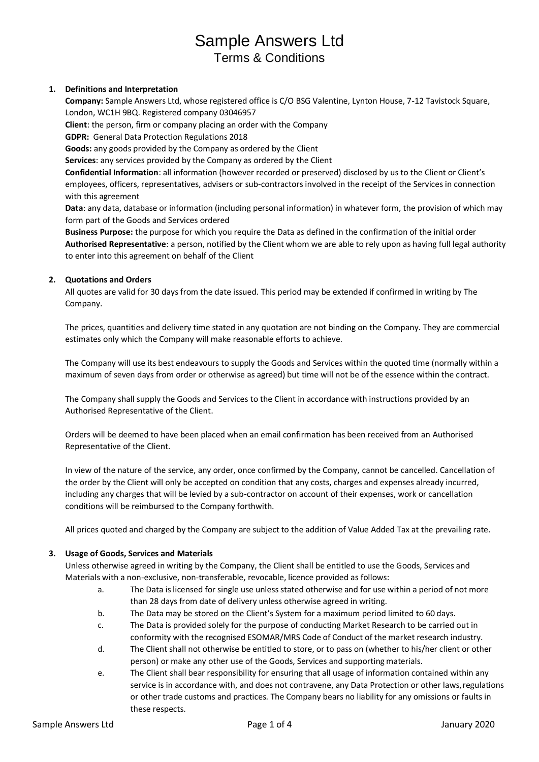# **1. Definitions and Interpretation**

**Company:** Sample Answers Ltd, whose registered office is C/O BSG Valentine, Lynton House, 7-12 Tavistock Square, London, WC1H 9BQ. Registered company 03046957

**Client**: the person, firm or company placing an order with the Company

**GDPR:** General Data Protection Regulations 2018

**Goods:** any goods provided by the Company as ordered by the Client

**Services**: any services provided by the Company as ordered by the Client

**Confidential Information**: all information (however recorded or preserved) disclosed by us to the Client or Client's employees, officers, representatives, advisers or sub-contractors involved in the receipt of the Services in connection with this agreement

**Data**: any data, database or information (including personal information) in whatever form, the provision of which may form part of the Goods and Services ordered

**Business Purpose:** the purpose for which you require the Data as defined in the confirmation of the initial order **Authorised Representative**: a person, notified by the Client whom we are able to rely upon as having full legal authority to enter into this agreement on behalf of the Client

## **2. Quotations and Orders**

All quotes are valid for 30 days from the date issued. This period may be extended if confirmed in writing by The Company.

The prices, quantities and delivery time stated in any quotation are not binding on the Company. They are commercial estimates only which the Company will make reasonable efforts to achieve.

The Company will use its best endeavours to supply the Goods and Services within the quoted time (normally within a maximum of seven days from order or otherwise as agreed) but time will not be of the essence within the contract.

The Company shall supply the Goods and Services to the Client in accordance with instructions provided by an Authorised Representative of the Client.

Orders will be deemed to have been placed when an email confirmation has been received from an Authorised Representative of the Client.

In view of the nature of the service, any order, once confirmed by the Company, cannot be cancelled. Cancellation of the order by the Client will only be accepted on condition that any costs, charges and expenses already incurred, including any charges that will be levied by a sub-contractor on account of their expenses, work or cancellation conditions will be reimbursed to the Company forthwith.

All prices quoted and charged by the Company are subject to the addition of Value Added Tax at the prevailing rate.

## **3. Usage of Goods, Services and Materials**

Unless otherwise agreed in writing by the Company, the Client shall be entitled to use the Goods, Services and Materials with a non-exclusive, non-transferable, revocable, licence provided as follows:

- a. The Data islicensed for single use unless stated otherwise and for use within a period of not more than 28 days from date of delivery unless otherwise agreed in writing.
- b. The Data may be stored on the Client's System for a maximum period limited to 60 days.
- c. The Data is provided solely for the purpose of conducting Market Research to be carried out in conformity with the recognised ESOMAR/MRS Code of Conduct of the market research industry.
- d. The Client shall not otherwise be entitled to store, or to pass on (whether to his/her client or other person) or make any other use of the Goods, Services and supporting materials.
- e. The Client shall bear responsibility for ensuring that all usage of information contained within any service is in accordance with, and does not contravene, any Data Protection or other laws, regulations or other trade customs and practices. The Company bears no liability for any omissions or faults in these respects.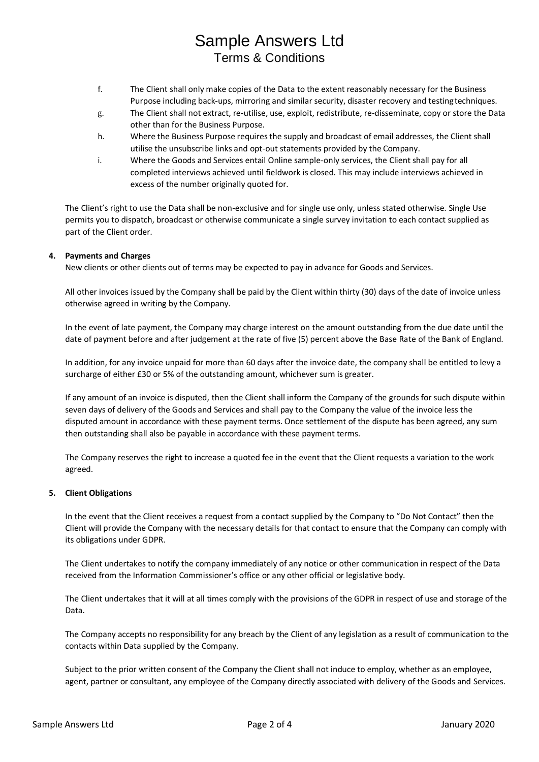- f. The Client shall only make copies of the Data to the extent reasonably necessary for the Business Purpose including back-ups, mirroring and similar security, disaster recovery and testing techniques.
- g. The Client shall not extract, re-utilise, use, exploit, redistribute, re-disseminate, copy or store the Data other than for the Business Purpose.
- h. Where the Business Purpose requires the supply and broadcast of email addresses, the Client shall utilise the unsubscribe links and opt-out statements provided by the Company.
- i. Where the Goods and Services entail Online sample-only services, the Client shall pay for all completed interviews achieved until fieldwork is closed. This may include interviews achieved in excess of the number originally quoted for.

The Client's right to use the Data shall be non-exclusive and for single use only, unless stated otherwise. Single Use permits you to dispatch, broadcast or otherwise communicate a single survey invitation to each contact supplied as part of the Client order.

# **4. Payments and Charges**

New clients or other clients out of terms may be expected to pay in advance for Goods and Services.

All other invoices issued by the Company shall be paid by the Client within thirty (30) days of the date of invoice unless otherwise agreed in writing by the Company.

In the event of late payment, the Company may charge interest on the amount outstanding from the due date until the date of payment before and after judgement at the rate of five (5) percent above the Base Rate of the Bank of England.

In addition, for any invoice unpaid for more than 60 days after the invoice date, the company shall be entitled to levy a surcharge of either £30 or 5% of the outstanding amount, whichever sum is greater.

If any amount of an invoice is disputed, then the Client shall inform the Company of the grounds for such dispute within seven days of delivery of the Goods and Services and shall pay to the Company the value of the invoice less the disputed amount in accordance with these payment terms. Once settlement of the dispute has been agreed, any sum then outstanding shall also be payable in accordance with these payment terms.

The Company reserves the right to increase a quoted fee in the event that the Client requests a variation to the work agreed.

## **5. Client Obligations**

In the event that the Client receives a request from a contact supplied by the Company to "Do Not Contact" then the Client will provide the Company with the necessary details for that contact to ensure that the Company can comply with its obligations under GDPR.

The Client undertakes to notify the company immediately of any notice or other communication in respect of the Data received from the Information Commissioner's office or any other official or legislative body.

The Client undertakes that it will at all times comply with the provisions of the GDPR in respect of use and storage of the Data.

The Company accepts no responsibility for any breach by the Client of any legislation as a result of communication to the contacts within Data supplied by the Company.

Subject to the prior written consent of the Company the Client shall not induce to employ, whether as an employee, agent, partner or consultant, any employee of the Company directly associated with delivery of the Goods and Services.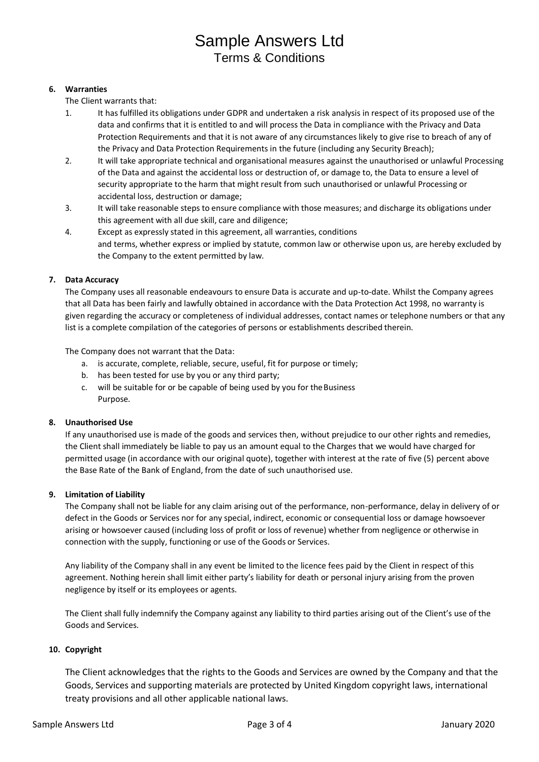# **6. Warranties**

The Client warrants that:

- 1. It has fulfilled its obligations under GDPR and undertaken a risk analysis in respect of its proposed use of the data and confirms that it is entitled to and will process the Data in compliance with the Privacy and Data Protection Requirements and that it is not aware of any circumstances likely to give rise to breach of any of the Privacy and Data Protection Requirements in the future (including any Security Breach);
- 2. It will take appropriate technical and organisational measures against the unauthorised or unlawful Processing of the Data and against the accidental loss or destruction of, or damage to, the Data to ensure a level of security appropriate to the harm that might result from such unauthorised or unlawful Processing or accidental loss, destruction or damage;
- 3. It will take reasonable steps to ensure compliance with those measures; and discharge its obligations under this agreement with all due skill, care and diligence;
- 4. Except as expressly stated in this agreement, all warranties, conditions and terms, whether express or implied by statute, common law or otherwise upon us, are hereby excluded by the Company to the extent permitted by law.

# **7. Data Accuracy**

The Company uses all reasonable endeavours to ensure Data is accurate and up-to-date. Whilst the Company agrees that all Data has been fairly and lawfully obtained in accordance with the Data Protection Act 1998, no warranty is given regarding the accuracy or completeness of individual addresses, contact names or telephone numbers or that any list is a complete compilation of the categories of persons or establishments described therein.

The Company does not warrant that the Data:

- a. is accurate, complete, reliable, secure, useful, fit for purpose or timely;
- b. has been tested for use by you or any third party;
- c. will be suitable for or be capable of being used by you for theBusiness Purpose.

## **8. Unauthorised Use**

If any unauthorised use is made of the goods and services then, without prejudice to our other rights and remedies, the Client shall immediately be liable to pay us an amount equal to the Charges that we would have charged for permitted usage (in accordance with our original quote), together with interest at the rate of five (5) percent above the Base Rate of the Bank of England, from the date of such unauthorised use.

## **9. Limitation of Liability**

The Company shall not be liable for any claim arising out of the performance, non-performance, delay in delivery of or defect in the Goods or Services nor for any special, indirect, economic or consequential loss or damage howsoever arising or howsoever caused (including loss of profit or loss of revenue) whether from negligence or otherwise in connection with the supply, functioning or use of the Goods or Services.

Any liability of the Company shall in any event be limited to the licence fees paid by the Client in respect of this agreement. Nothing herein shall limit either party's liability for death or personal injury arising from the proven negligence by itself or its employees or agents.

The Client shall fully indemnify the Company against any liability to third parties arising out of the Client's use of the Goods and Services.

## **10. Copyright**

The Client acknowledges that the rights to the Goods and Services are owned by the Company and that the Goods, Services and supporting materials are protected by United Kingdom copyright laws, international treaty provisions and all other applicable national laws.